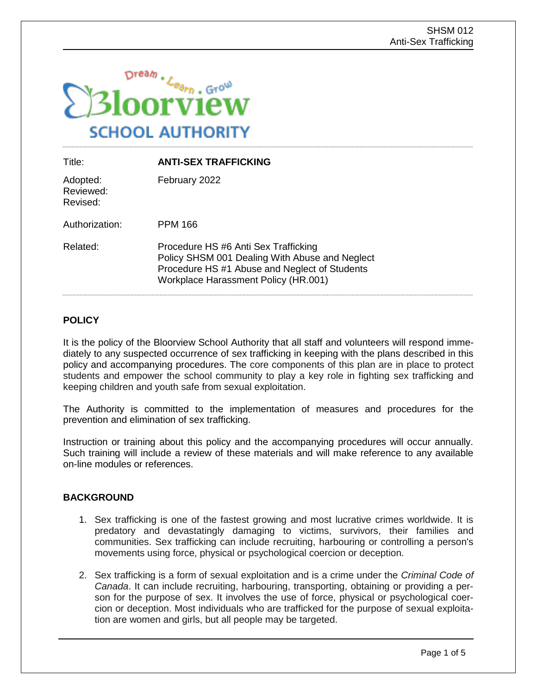

| Title:                            | <b>ANTI-SEX TRAFFICKING</b>                                                                                                                                                            |
|-----------------------------------|----------------------------------------------------------------------------------------------------------------------------------------------------------------------------------------|
| Adopted:<br>Reviewed:<br>Revised: | February 2022                                                                                                                                                                          |
| Authorization:                    | PPM 166                                                                                                                                                                                |
| Related:                          | Procedure HS #6 Anti Sex Trafficking<br>Policy SHSM 001 Dealing With Abuse and Neglect<br>Procedure HS #1 Abuse and Neglect of Students<br><b>Workplace Harassment Policy (HR.001)</b> |

# **POLICY**

It is the policy of the Bloorview School Authority that all staff and volunteers will respond immediately to any suspected occurrence of sex trafficking in keeping with the plans described in this policy and accompanying procedures. The core components of this plan are in place to protect students and empower the school community to play a key role in fighting sex trafficking and keeping children and youth safe from sexual exploitation.

The Authority is committed to the implementation of measures and procedures for the prevention and elimination of sex trafficking.

Instruction or training about this policy and the accompanying procedures will occur annually. Such training will include a review of these materials and will make reference to any available on-line modules or references.

## **BACKGROUND**

- 1. Sex trafficking is one of the fastest growing and most lucrative crimes worldwide. It is predatory and devastatingly damaging to victims, survivors, their families and communities. Sex trafficking can include recruiting, harbouring or controlling a person's movements using force, physical or psychological coercion or deception.
- 2. Sex trafficking is a form of sexual exploitation and is a crime under the *Criminal Code of Canada*. It can include recruiting, harbouring, transporting, obtaining or providing a person for the purpose of sex. It involves the use of force, physical or psychological coercion or deception. Most individuals who are trafficked for the purpose of sexual exploitation are women and girls, but all people may be targeted.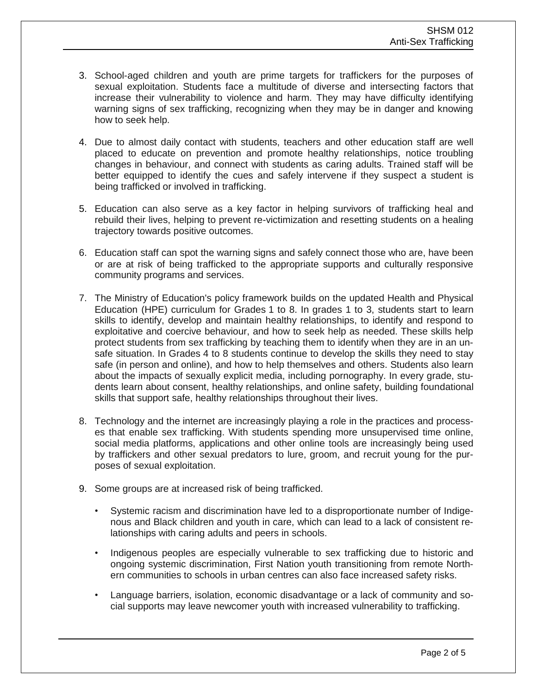- 3. School-aged children and youth are prime targets for traffickers for the purposes of sexual exploitation. Students face a multitude of diverse and intersecting factors that increase their vulnerability to violence and harm. They may have difficulty identifying warning signs of sex trafficking, recognizing when they may be in danger and knowing how to seek help.
- 4. Due to almost daily contact with students, teachers and other education staff are well placed to educate on prevention and promote healthy relationships, notice troubling changes in behaviour, and connect with students as caring adults. Trained staff will be better equipped to identify the cues and safely intervene if they suspect a student is being trafficked or involved in trafficking.
- 5. Education can also serve as a key factor in helping survivors of trafficking heal and rebuild their lives, helping to prevent re-victimization and resetting students on a healing trajectory towards positive outcomes.
- 6. Education staff can spot the warning signs and safely connect those who are, have been or are at risk of being trafficked to the appropriate supports and culturally responsive community programs and services.
- 7. The Ministry of Education's policy framework builds on the updated Health and Physical Education (HPE) curriculum for Grades 1 to 8. In grades 1 to 3, students start to learn skills to identify, develop and maintain healthy relationships, to identify and respond to exploitative and coercive behaviour, and how to seek help as needed. These skills help protect students from sex trafficking by teaching them to identify when they are in an unsafe situation. In Grades 4 to 8 students continue to develop the skills they need to stay safe (in person and online), and how to help themselves and others. Students also learn about the impacts of sexually explicit media, including pornography. In every grade, students learn about consent, healthy relationships, and online safety, building foundational skills that support safe, healthy relationships throughout their lives.
- 8. Technology and the internet are increasingly playing a role in the practices and processes that enable sex trafficking. With students spending more unsupervised time online, social media platforms, applications and other online tools are increasingly being used by traffickers and other sexual predators to lure, groom, and recruit young for the purposes of sexual exploitation.
- 9. Some groups are at increased risk of being trafficked.
	- Systemic racism and discrimination have led to a disproportionate number of Indigenous and Black children and youth in care, which can lead to a lack of consistent relationships with caring adults and peers in schools.
	- Indigenous peoples are especially vulnerable to sex trafficking due to historic and ongoing systemic discrimination, First Nation youth transitioning from remote Northern communities to schools in urban centres can also face increased safety risks.
	- Language barriers, isolation, economic disadvantage or a lack of community and social supports may leave newcomer youth with increased vulnerability to trafficking.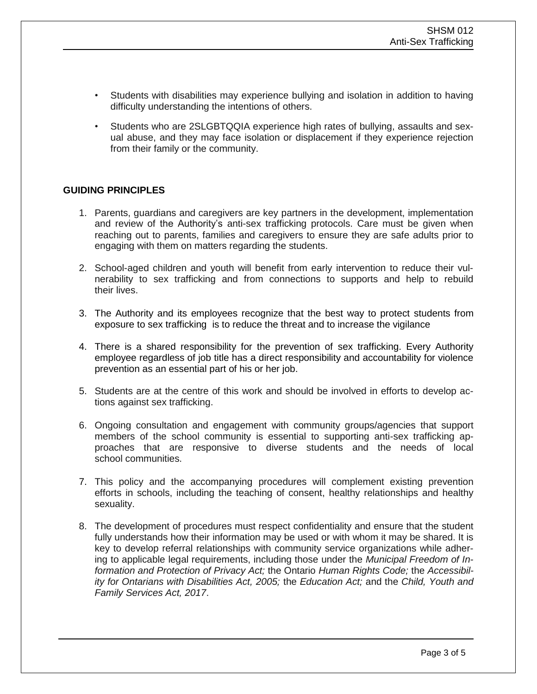- Students with disabilities may experience bullying and isolation in addition to having difficulty understanding the intentions of others.
- Students who are 2SLGBTQQIA experience high rates of bullying, assaults and sexual abuse, and they may face isolation or displacement if they experience rejection from their family or the community.

#### **GUIDING PRINCIPLES**

- 1. Parents, guardians and caregivers are key partners in the development, implementation and review of the Authority's anti-sex trafficking protocols. Care must be given when reaching out to parents, families and caregivers to ensure they are safe adults prior to engaging with them on matters regarding the students.
- 2. School-aged children and youth will benefit from early intervention to reduce their vulnerability to sex trafficking and from connections to supports and help to rebuild their lives.
- 3. The Authority and its employees recognize that the best way to protect students from exposure to sex trafficking is to reduce the threat and to increase the vigilance
- 4. There is a shared responsibility for the prevention of sex trafficking. Every Authority employee regardless of job title has a direct responsibility and accountability for violence prevention as an essential part of his or her job.
- 5. Students are at the centre of this work and should be involved in efforts to develop actions against sex trafficking.
- 6. Ongoing consultation and engagement with community groups/agencies that support members of the school community is essential to supporting anti-sex trafficking approaches that are responsive to diverse students and the needs of local school communities.
- 7. This policy and the accompanying procedures will complement existing prevention efforts in schools, including the teaching of consent, healthy relationships and healthy sexuality.
- 8. The development of procedures must respect confidentiality and ensure that the student fully understands how their information may be used or with whom it may be shared. It is key to develop referral relationships with community service organizations while adhering to applicable legal requirements, including those under the *Municipal Freedom of Information and Protection of Privacy Act;* the Ontario *Human Rights Code;* the *Accessibility for Ontarians with Disabilities Act, 2005;* the *Education Act;* and the *Child, Youth and Family Services Act, 2017*.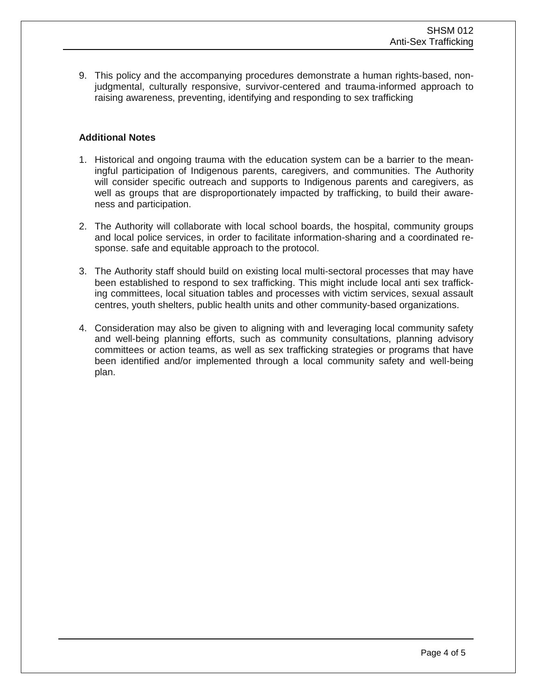9. This policy and the accompanying procedures demonstrate a human rights-based, nonjudgmental, culturally responsive, survivor-centered and trauma-informed approach to raising awareness, preventing, identifying and responding to sex trafficking

### **Additional Notes**

- 1. Historical and ongoing trauma with the education system can be a barrier to the meaningful participation of Indigenous parents, caregivers, and communities. The Authority will consider specific outreach and supports to Indigenous parents and caregivers, as well as groups that are disproportionately impacted by trafficking, to build their awareness and participation.
- 2. The Authority will collaborate with local school boards, the hospital, community groups and local police services, in order to facilitate information-sharing and a coordinated response. safe and equitable approach to the protocol.
- 3. The Authority staff should build on existing local multi-sectoral processes that may have been established to respond to sex trafficking. This might include local anti sex trafficking committees, local situation tables and processes with victim services, sexual assault centres, youth shelters, public health units and other community-based organizations.
- 4. Consideration may also be given to aligning with and leveraging local community safety and well-being planning efforts, such as community consultations, planning advisory committees or action teams, as well as sex trafficking strategies or programs that have been identified and/or implemented through a local community safety and well-being plan.